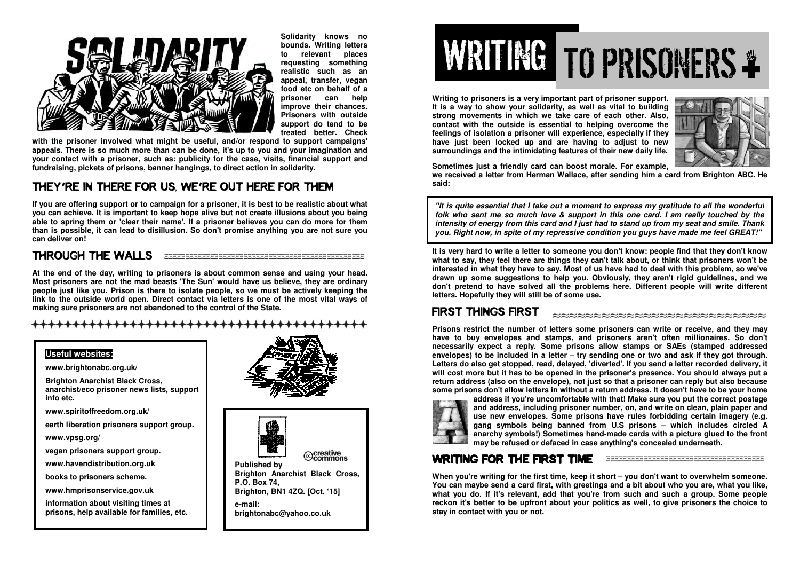

**Solidarity knows no bounds. Writing letters to relevant places requesting something realistic such as an appeal, transfer, vegan food etc on behalf of a prisoner can help improve their chances. Prisoners with outside support do tend to be treated better. Check** 

 **with the prisoner involved what might be useful, and/or respond to support campaigns' appeals. There is so much more than can be done, it's up to you and your imagination and your contact with a prisoner, such as: publicity for the case, visits, financial support and fundraising, pickets of prisons, banner hangings, to direct action in solidarity.** 

### THEY'RE IN THERE FOR US, WE'RE OUT HERE FOR THEM

**If you are offering support or to campaign for a prisoner, it is best to be realistic about what you can achieve. It is important to keep hope alive but not create illusions about you being able to spring them or 'clear their name'. If a prisoner believes you can do more for them than is possible, it can lead to disillusion. So don't promise anything you are not sure you can deliver on!** 

### THROUGH THE WALLS

**At the end of the day, writing to prisoners is about common sense and using your head. Most prisoners are not the mad beasts 'The Sun' would have us believe, they are ordinary people just like you. Prison is there to isolate people, so we must be actively keeping the link to the outside world open. Direct contact via letters is one of the most vital ways of making sure prisoners are not abandoned to the control of the State.** 

++++++++++++++++++++++++++

#### **Useful websites:**

**www.brightonabc.org.uk/** 

**Brighton Anarchist Black Cross, anarchist/eco prisoner news lists, support info etc.**

**www.spiritoffreedom.org.uk/** 

**earth liberation prisoners support group.** 

**www.vpsg.org/** 

**vegan prisoners support group.** 

**www.havendistribution.org.uk** 

**books to prisoners scheme.** 

**www.hmprisonservice.gov.uk** 

**information about visiting times at prisons, help available for families, etc.**





 **Brighton Anarchist Black Cross, P.O. Box 74, Brighton, BN1 4ZQ. [Oct. '15]**

**e-mail: brightonabc@yahoo.co.uk** 

# WRITINGTO PRISONERS

**Writing to prisoners is a very important part of prisoner support. It is a way to show your solidarity, as well as vital to building strong movements in which we take care of each other. Also, contact with the outside is essential to helping overcome the feelings of isolation a prisoner will experience, especially if they have just been locked up and are having to adjust to new surroundings and the intimidating features of their new daily life.** 



**Sometimes just a friendly card can boost morale. For example, we received a letter from Herman Wallace, after sending him a card from Brighton ABC. He said:** 

**"It is quite essential that I take out a moment to express my gratitude to all the wonderful folk who sent me so much love & support in this one card. I am really touched by the intensity of energy from this card and I just had to stand up from my seat and smile. Thank you. Right now, in spite of my repressive condition you guys have made me feel GREAT!"**

**It is very hard to write a letter to someone you don't know: people find that they don't know what to say, they feel there are things they can't talk about, or think that prisoners won't be interested in what they have to say. Most of us have had to deal with this problem, so we've drawn up some suggestions to help you. Obviously, they aren't rigid guidelines, and we don't pretend to have solved all the problems here. Different people will write different letters. Hopefully they will still be of some use.** 

## FIRST THINGS FIRST

**Prisons restrict the number of letters some prisoners can write or receive, and they may have to buy envelopes and stamps, and prisoners aren't often millionaires. So don't necessarily expect a reply. Some prisons allow stamps or SAEs (stamped addressed envelopes) to be included in a letter – try sending one or two and ask if they got through. Letters do also get stopped, read, delayed, 'diverted'. If you send a letter recorded delivery, it will cost more but it has to be opened in the prisoner's presence. You should always put a return address (also on the envelope), not just so that a prisoner can reply but also because some prisons don't allow letters in without a return address. It doesn't have to be your home** 



 **address if you're uncomfortable with that! Make sure you put the correct postage and address, including prisoner number, on, and write on clean, plain paper and use new envelopes. Some prisons have rules forbidding certain imagery (e.g. gang symbols being banned from U.S prisons – which includes circled A anarchy symbols!) Sometimes hand-made cards with a picture glued to the front may be refused or defaced in case anything's concealed underneath.**

### WRITING FOR THE FIRST TIME EXAMALERS ASSESSED AND RESERVE ASSESSED AND THE FIRST TIME

**When you're writing for the first time, keep it short – you don't want to overwhelm someone. You can maybe send a card first, with greetings and a bit about who you are, what you like, what you do. If it's relevant, add that you're from such and such a group. Some people reckon it's better to be upfront about your politics as well, to give prisoners the choice to stay in contact with you or not.**